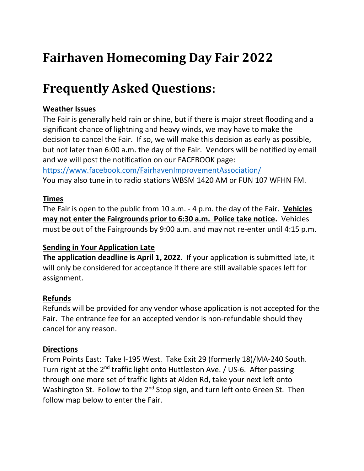# **Fairhaven Homecoming Day Fair 2022**

# **Frequently Asked Questions:**

### **Weather Issues**

The Fair is generally held rain or shine, but if there is major street flooding and a significant chance of lightning and heavy winds, we may have to make the decision to cancel the Fair. If so, we will make this decision as early as possible, but not later than 6:00 a.m. the day of the Fair. Vendors will be notified by email and we will post the notification on our FACEBOOK page: <https://www.facebook.com/FairhavenImprovementAssociation/>

You may also tune in to radio stations WBSM 1420 AM or FUN 107 WFHN FM.

## **Times**

The Fair is open to the public from 10 a.m. - 4 p.m. the day of the Fair. **Vehicles may not enter the Fairgrounds prior to 6:30 a.m. Police take notice.** Vehicles must be out of the Fairgrounds by 9:00 a.m. and may not re-enter until 4:15 p.m.

#### **Sending in Your Application Late**

**The application deadline is April 1, 2022**. If your application is submitted late, it will only be considered for acceptance if there are still available spaces left for assignment.

## **Refunds**

Refunds will be provided for any vendor whose application is not accepted for the Fair. The entrance fee for an accepted vendor is non-refundable should they cancel for any reason.

#### **Directions**

From Points East: Take I-195 West. Take Exit 29 (formerly 18)/MA-240 South. Turn right at the 2<sup>nd</sup> traffic light onto Huttleston Ave. / US-6. After passing through one more set of traffic lights at Alden Rd, take your next left onto Washington St. Follow to the 2<sup>nd</sup> Stop sign, and turn left onto Green St. Then follow map below to enter the Fair.